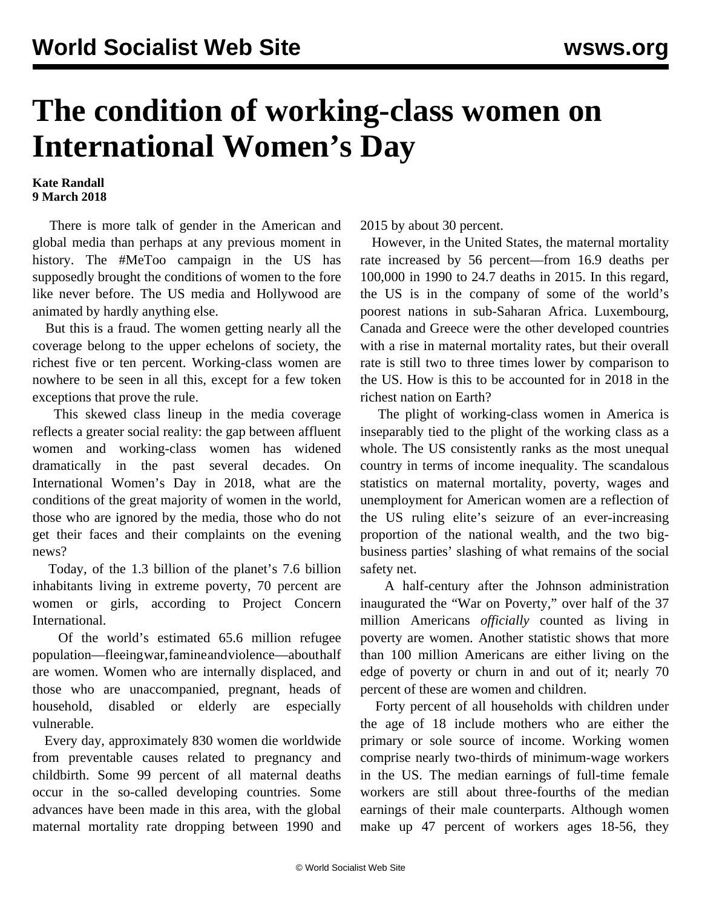## **The condition of working-class women on International Women's Day**

## **Kate Randall 9 March 2018**

 There is more talk of gender in the American and global media than perhaps at any previous moment in history. The #MeToo campaign in the US has supposedly brought the conditions of women to the fore like never before. The US media and Hollywood are animated by hardly anything else.

 But this is a fraud. The women getting nearly all the coverage belong to the upper echelons of society, the richest five or ten percent. Working-class women are nowhere to be seen in all this, except for a few token exceptions that prove the rule.

 This skewed class lineup in the media coverage reflects a greater social reality: the gap between affluent women and working-class women has widened dramatically in the past several decades. On International Women's Day in 2018, what are the conditions of the great majority of women in the world, those who are ignored by the media, those who do not get their faces and their complaints on the evening news?

 Today, of the 1.3 billion of the planet's 7.6 billion inhabitants living in extreme poverty, 70 percent are women or girls, according to Project Concern International.

 Of the world's estimated 65.6 million refugee population—fleeing war, famine and violence—about half are women. Women who are internally displaced, and those who are unaccompanied, pregnant, heads of household, disabled or elderly are especially vulnerable.

 Every day, approximately 830 women die worldwide from preventable causes related to pregnancy and childbirth. Some 99 percent of all maternal deaths occur in the so-called developing countries. Some advances have been made in this area, with the global maternal mortality rate dropping between 1990 and 2015 by about 30 percent.

 However, in the United States, the maternal mortality rate increased by 56 percent—from 16.9 deaths per 100,000 in 1990 to 24.7 deaths in 2015. In this regard, the US is in the company of some of the world's poorest nations in sub-Saharan Africa. Luxembourg, Canada and Greece were the other developed countries with a rise in maternal mortality rates, but their overall rate is still two to three times lower by comparison to the US. How is this to be accounted for in 2018 in the richest nation on Earth?

 The plight of working-class women in America is inseparably tied to the plight of the working class as a whole. The US consistently ranks as the most unequal country in terms of income inequality. The scandalous statistics on maternal mortality, poverty, wages and unemployment for American women are a reflection of the US ruling elite's seizure of an ever-increasing proportion of the national wealth, and the two bigbusiness parties' slashing of what remains of the social safety net.

 A half-century after the Johnson administration inaugurated the "War on Poverty," over half of the 37 million Americans *officially* counted as living in poverty are women. Another statistic shows that more than 100 million Americans are either living on the edge of poverty or churn in and out of it; nearly 70 percent of these are women and children.

 Forty percent of all households with children under the age of 18 include mothers who are either the primary or sole source of income. Working women comprise nearly two-thirds of minimum-wage workers in the US. The median earnings of full-time female workers are still about three-fourths of the median earnings of their male counterparts. Although women make up 47 percent of workers ages 18-56, they